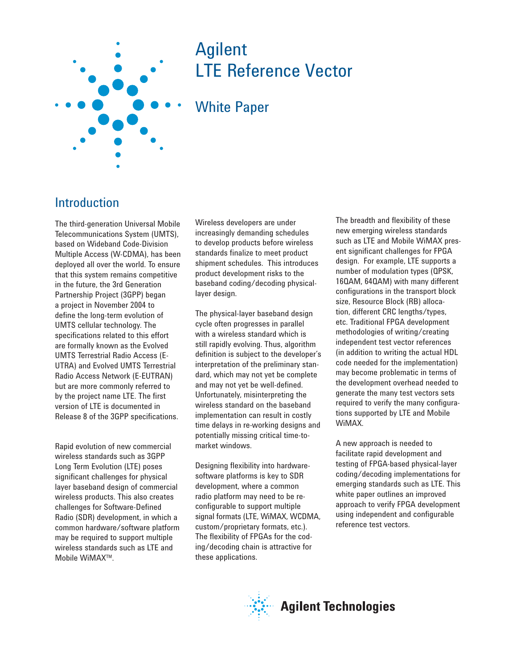

# Agilent LTE Reference Vector

## White Paper

### Introduction

The third-generation Universal Mobile Telecommunications System (UMTS), based on Wideband Code-Division Multiple Access (W-CDMA), has been deployed all over the world. To ensure that this system remains competitive in the future, the 3rd Generation Partnership Project (3GPP) began a project in November 2004 to define the long-term evolution of UMTS cellular technology. The specifications related to this effort are formally known as the Evolved UMTS Terrestrial Radio Access (E-UTRA) and Evolved UMTS Terrestrial Radio Access Network (E-EUTRAN) but are more commonly referred to by the project name LTE. The first version of LTE is documented in Release 8 of the 3GPP specifications.

Rapid evolution of new commercial wireless standards such as 3GPP Long Term Evolution (LTE) poses significant challenges for physical layer baseband design of commercial wireless products. This also creates challenges for Software-Defined Radio (SDR) development, in which a common hardware/software platform may be required to support multiple wireless standards such as LTE and Mobile WiMAX™.

Wireless developers are under increasingly demanding schedules to develop products before wireless standards finalize to meet product shipment schedules. This introduces product development risks to the baseband coding/decoding physicallayer design.

The physical-layer baseband design cycle often progresses in parallel with a wireless standard which is still rapidly evolving. Thus, algorithm definition is subject to the developer's interpretation of the preliminary standard, which may not yet be complete and may not yet be well-defined. Unfortunately, misinterpreting the wireless standard on the baseband implementation can result in costly time delays in re-working designs and potentially missing critical time-tomarket windows.

Designing flexibility into hardwaresoftware platforms is key to SDR development, where a common radio platform may need to be reconfigurable to support multiple signal formats (LTE, WiMAX, WCDMA, custom/proprietary formats, etc.). The flexibility of FPGAs for the coding/decoding chain is attractive for these applications.

The breadth and flexibility of these new emerging wireless standards such as LTE and Mobile WiMAX present significant challenges for FPGA design. For example, LTE supports a number of modulation types (QPSK, 16QAM, 64QAM) with many different configurations in the transport block size, Resource Block (RB) allocation, different CRC lengths/types, etc. Traditional FPGA development methodologies of writing/creating independent test vector references (in addition to writing the actual HDL code needed for the implementation) may become problematic in terms of the development overhead needed to generate the many test vectors sets required to verify the many configurations supported by LTE and Mobile WiMAX.

A new approach is needed to facilitate rapid development and testing of FPGA-based physical-layer coding/decoding implementations for emerging standards such as LTE. This white paper outlines an improved approach to verify FPGA development using independent and configurable reference test vectors.

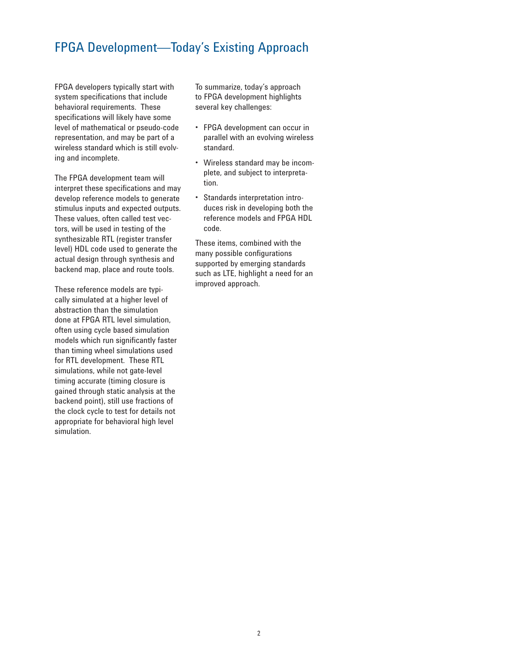## FPGA Development—Today's Existing Approach

FPGA developers typically start with system specifications that include behavioral requirements. These specifications will likely have some level of mathematical or pseudo-code representation, and may be part of a wireless standard which is still evolving and incomplete.

The FPGA development team will interpret these specifications and may develop reference models to generate stimulus inputs and expected outputs. These values, often called test vectors, will be used in testing of the synthesizable RTL (register transfer level) HDL code used to generate the actual design through synthesis and backend map, place and route tools.

These reference models are typically simulated at a higher level of abstraction than the simulation done at FPGA RTL level simulation, often using cycle based simulation models which run significantly faster than timing wheel simulations used for RTL development. These RTL simulations, while not gate-level timing accurate (timing closure is gained through static analysis at the backend point), still use fractions of the clock cycle to test for details not appropriate for behavioral high level simulation.

To summarize, today's approach to FPGA development highlights several key challenges:

- FPGA development can occur in parallel with an evolving wireless standard.
- Wireless standard may be incom-• plete, and subject to interpretation.
- Standards interpretation introduces risk in developing both the reference models and FPGA HDL code.

These items, combined with the many possible configurations supported by emerging standards such as LTE, highlight a need for an improved approach.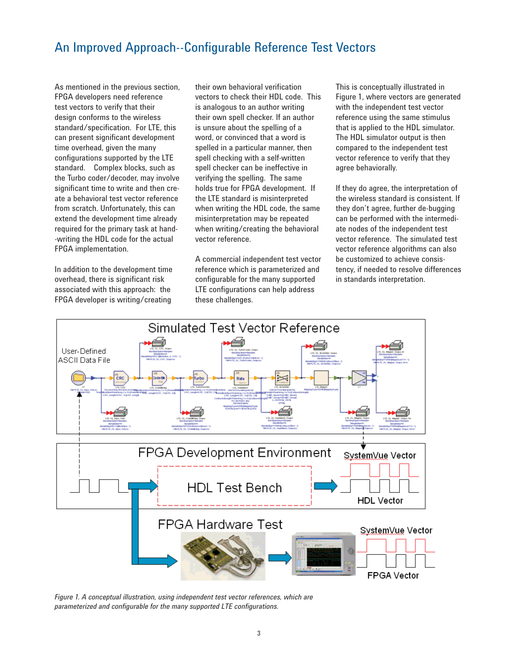## An Improved Approach--Configurable Reference Test Vectors

As mentioned in the previous section, FPGA developers need reference test vectors to verify that their design conforms to the wireless standard/specification. For LTE, this can present significant development time overhead, given the many configurations supported by the LTE standard. Complex blocks, such as the Turbo coder/decoder, may involve significant time to write and then create a behavioral test vector reference from scratch. Unfortunately, this can extend the development time already required for the primary task at hand- -writing the HDL code for the actual FPGA implementation.

In addition to the development time overhead, there is significant risk associated with this approach: the FPGA developer is writing/creating

their own behavioral verification vectors to check their HDL code. This is analogous to an author writing their own spell checker. If an author is unsure about the spelling of a word, or convinced that a word is spelled in a particular manner, then spell checking with a self-written spell checker can be ineffective in verifying the spelling. The same holds true for FPGA development. If the LTE standard is misinterpreted when writing the HDL code, the same misinterpretation may be repeated when writing/creating the behavioral vector reference.

A commercial independent test vector reference which is parameterized and configurable for the many supported LTE configurations can help address these challenges.

This is conceptually illustrated in Figure 1, where vectors are generated with the independent test vector reference using the same stimulus that is applied to the HDL simulator. The HDL simulator output is then compared to the independent test vector reference to verify that they agree behaviorally.

If they do agree, the interpretation of the wireless standard is consistent. If they don't agree, further de-bugging can be performed with the intermediate nodes of the independent test vector reference. The simulated test vector reference algorithms can also be customized to achieve consistency, if needed to resolve differences in standards interpretation.



*Figure 1. A conceptual illustration, using independent test vector references, which are*  parameterized and configurable for the many supported LTE configurations.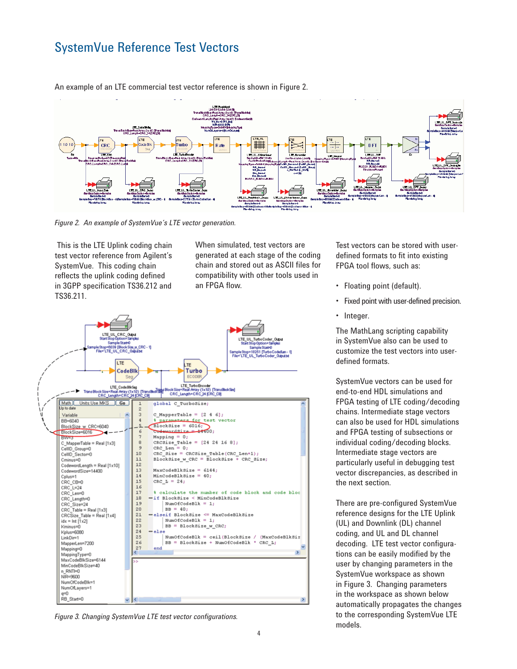## SystemVue Reference Test Vectors



An example of an LTE commercial test vector reference is shown in Figure 2.

*Figure 2. An example of SystemVue's LTE vector generation.*

 This is the LTE Uplink coding chain test vector reference from Agilent's SystemVue. This coding chain reflects the uplink coding defined in 3GPP specification TS36.212 and TS36.211.

When simulated, test vectors are generated at each stage of the coding chain and stored out as ASCII files for compatibility with other tools used in an FPGA flow.



Figure 3. Changing SystemVue LTE test vector configurations.

Test vectors can be stored with userdefined formats to fit into existing FPGA tool flows, such as:

- Floating point (default).
- Fixed point with user-defined precision.
- Integer.

The MathLang scripting capability in SystemVue also can be used to customize the test vectors into userdefined formats.

SystemVue vectors can be used for end-to-end HDL simulations and FPGA testing of LTE coding/decoding chains. Intermediate stage vectors can also be used for HDL simulations and FPGA testing of subsections or individual coding/decoding blocks. Intermediate stage vectors are particularly useful in debugging test vector discrepancies, as described in the next section.

There are pre-configured SystemVue reference designs for the LTE Uplink (UL) and Downlink (DL) channel coding, and UL and DL channel decoding. LTE test vector configurations can be easily modified by the user by changing parameters in the SystemVue workspace as shown in Figure 3. Changing parameters in the workspace as shown below automatically propagates the changes to the corresponding SystemVue LTE models.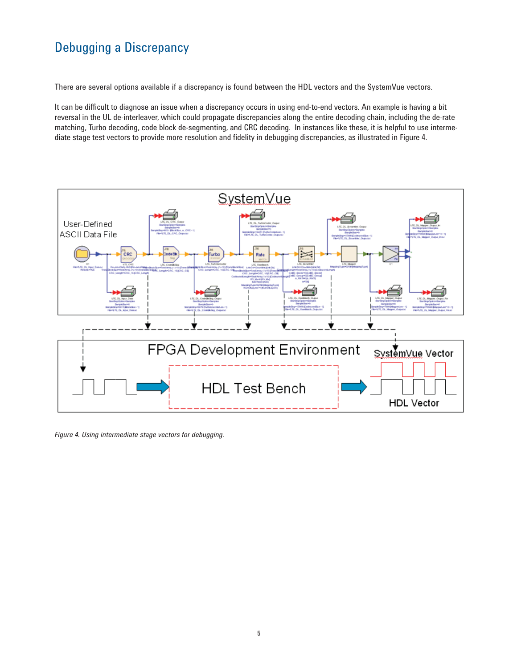## Debugging a Discrepancy

There are several options available if a discrepancy is found between the HDL vectors and the SystemVue vectors.

It can be difficult to diagnose an issue when a discrepancy occurs in using end-to-end vectors. An example is having a bit reversal in the UL de-interleaver, which could propagate discrepancies along the entire decoding chain, including the de-rate matching, Turbo decoding, code block de-segmenting, and CRC decoding. In instances like these, it is helpful to use intermediate stage test vectors to provide more resolution and fidelity in debugging discrepancies, as illustrated in Figure 4.



*Figure 4. Using intermediate stage vectors for debugging.*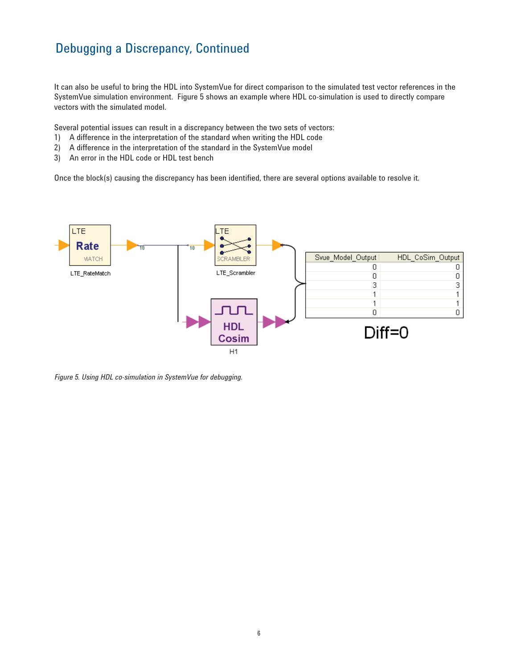## Debugging a Discrepancy, Continued

It can also be useful to bring the HDL into SystemVue for direct comparison to the simulated test vector references in the SystemVue simulation environment. Figure 5 shows an example where HDL co-simulation is used to directly compare vectors with the simulated model.

Several potential issues can result in a discrepancy between the two sets of vectors:

- 1) A difference in the interpretation of the standard when writing the HDL code
- 2) A difference in the interpretation of the standard in the SystemVue model
- 3) An error in the HDL code or HDL test bench

Once the block(s) causing the discrepancy has been identified, there are several options available to resolve it.



*Figure 5. Using HDL co-simulation in SystemVue for debugging.*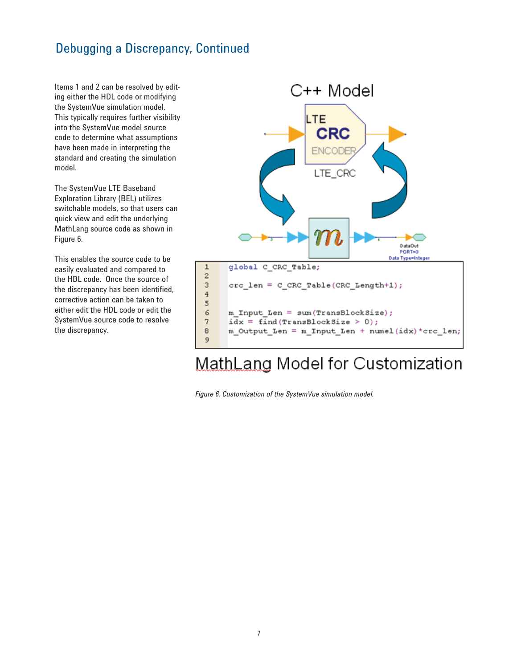## Debugging a Discrepancy, Continued

Items 1 and 2 can be resolved by editing either the HDL code or modifying the SystemVue simulation model. This typically requires further visibility into the SystemVue model source code to determine what assumptions have been made in interpreting the standard and creating the simulation model.

The SystemVue LTE Baseband Exploration Library (BEL) utilizes switchable models, so that users can quick view and edit the underlying MathLang source code as shown in Figure 6.

This enables the source code to be easily evaluated and compared to the HDL code. Once the source of the discrepancy has been identified, corrective action can be taken to either edit the HDL code or edit the SystemVue source code to resolve the discrepancy.



# MathLang Model for Customization

*Figure 6. Customization of the SystemVue simulation model.*